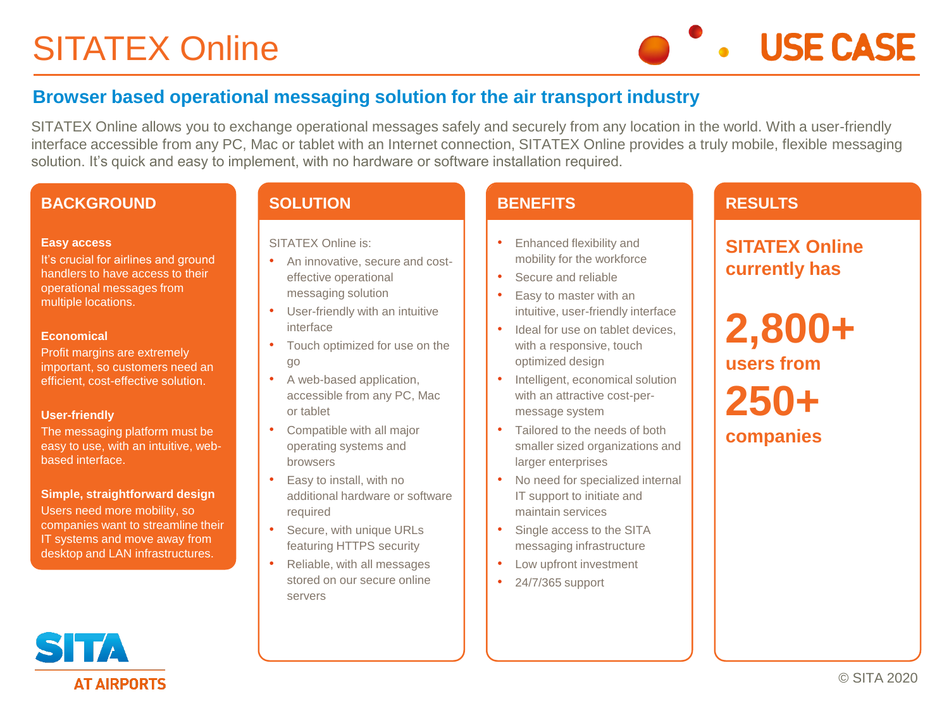# SITATEX Online

**USE CASE** 

# **Browser based operational messaging solution for the air transport industry**

SITATEX Online allows you to exchange operational messages safely and securely from any location in the world. With a user-friendly interface accessible from any PC, Mac or tablet with an Internet connection, SITATEX Online provides a truly mobile, flexible messaging solution. It's quick and easy to implement, with no hardware or software installation required.

## **BACKGROUND**

#### **Easy access**

It's crucial for airlines and ground handlers to have access to their operational messages from multiple locations.

#### **Economical**

Profit margins are extremely important, so customers need an efficient, cost-effective solution.

#### **User-friendly**

The messaging platform must be easy to use, with an intuitive, webbased interface.

**Simple, straightforward design** Users need more mobility, so companies want to streamline their IT systems and move away from desktop and LAN infrastructures.

## **SOLUTION**

SITATEX Online is:

- An innovative, secure and costeffective operational messaging solution
- User-friendly with an intuitive interface
- Touch optimized for use on the go
- A web-based application, accessible from any PC, Mac or tablet
- Compatible with all major operating systems and browsers
- Easy to install, with no additional hardware or software required
- Secure, with unique URLs featuring HTTPS security
- Reliable, with all messages stored on our secure online servers

## **BENEFITS**

- Enhanced flexibility and mobility for the workforce
- Secure and reliable
- Easy to master with an intuitive, user-friendly interface
- Ideal for use on tablet devices. with a responsive, touch optimized design
- Intelligent, economical solution with an attractive cost-permessage system
- Tailored to the needs of both smaller sized organizations and larger enterprises
- No need for specialized internal IT support to initiate and maintain services
- Single access to the SITA messaging infrastructure
- Low upfront investment
- 24/7/365 support

# **RESULTS**

**SITATEX Online currently has**

**2,800+ users from 250+ companies**